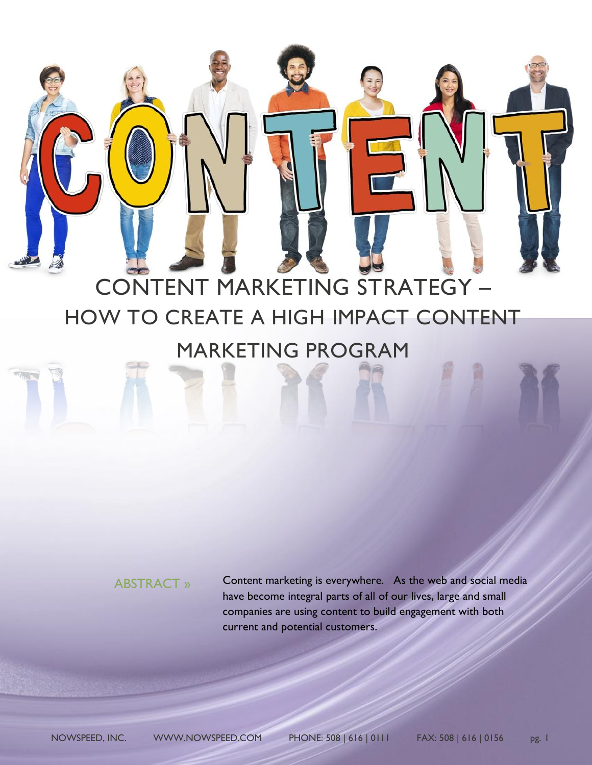# CONTENT MARKETING STRATEGY – HOW TO CREATE A HIGH IMPACT CONTENT MARKETING PROGRAM

# ABSTRACT »

Content marketing is everywhere. As the web and social media have become integral parts of all of our lives, large and small companies are using content to build engagement with both current and potential customers.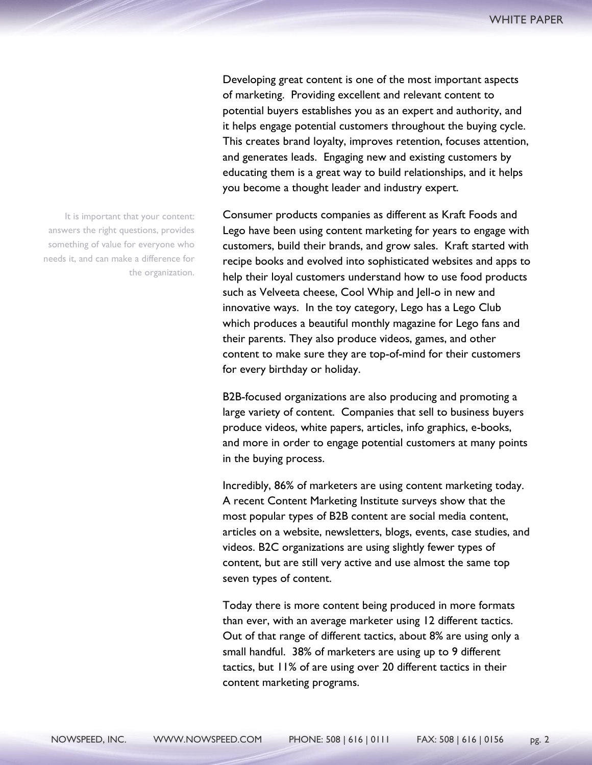Developing great content is one of the most important aspects of marketing. Providing excellent and relevant content to potential buyers establishes you as an expert and authority, and it helps engage potential customers throughout the buying cycle. This creates brand loyalty, improves retention, focuses attention, and generates leads. Engaging new and existing customers by educating them is a great way to build relationships, and it helps you become a thought leader and industry expert.

Consumer products companies as different as Kraft Foods and Lego have been using content marketing for years to engage with customers, build their brands, and grow sales. Kraft started with recipe books and evolved into sophisticated websites and apps to help their loyal customers understand how to use food products such as Velveeta cheese, Cool Whip and Jell-o in new and innovative ways. In the toy category, Lego has a Lego Club which produces a beautiful monthly magazine for Lego fans and their parents. They also produce videos, games, and other content to make sure they are top-of-mind for their customers for every birthday or holiday.

B2B-focused organizations are also producing and promoting a large variety of content. Companies that sell to business buyers produce videos, white papers, articles, info graphics, e-books, and more in order to engage potential customers at many points in the buying process.

Incredibly, 86% of marketers are using content marketing today. A recent Content Marketing Institute surveys show that the most popular types of B2B content are social media content, articles on a website, newsletters, blogs, events, case studies, and videos. B2C organizations are using slightly fewer types of content, but are still very active and use almost the same top seven types of content.

Today there is more content being produced in more formats than ever, with an average marketer using 12 different tactics. Out of that range of different tactics, about 8% are using only a small handful. 38% of marketers are using up to 9 different tactics, but 11% of are using over 20 different tactics in their content marketing programs.

It is important that your content: answers the right questions, provides something of value for everyone who needs it, and can make a difference for the organization.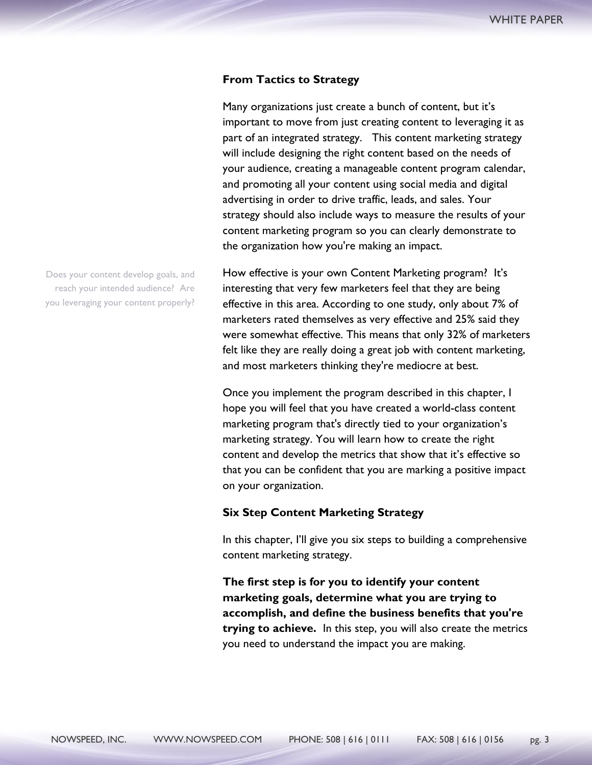#### **From Tactics to Strategy**

Many organizations just create a bunch of content, but it's important to move from just creating content to leveraging it as part of an integrated strategy. This content marketing strategy will include designing the right content based on the needs of your audience, creating a manageable content program calendar, and promoting all your content using social media and digital advertising in order to drive traffic, leads, and sales. Your strategy should also include ways to measure the results of your content marketing program so you can clearly demonstrate to the organization how you're making an impact.

How effective is your own Content Marketing program? It's interesting that very few marketers feel that they are being effective in this area. According to one study, only about 7% of marketers rated themselves as very effective and 25% said they were somewhat effective. This means that only 32% of marketers felt like they are really doing a great job with content marketing, and most marketers thinking they're mediocre at best.

Once you implement the program described in this chapter, I hope you will feel that you have created a world-class content marketing program that's directly tied to your organization's marketing strategy. You will learn how to create the right content and develop the metrics that show that it's effective so that you can be confident that you are marking a positive impact on your organization.

#### **Six Step Content Marketing Strategy**

In this chapter, I'll give you six steps to building a comprehensive content marketing strategy.

**The first step is for you to identify your content marketing goals, determine what you are trying to accomplish, and define the business benefits that you're trying to achieve.** In this step, you will also create the metrics you need to understand the impact you are making.

Does your content develop goals, and reach your intended audience? Are you leveraging your content properly?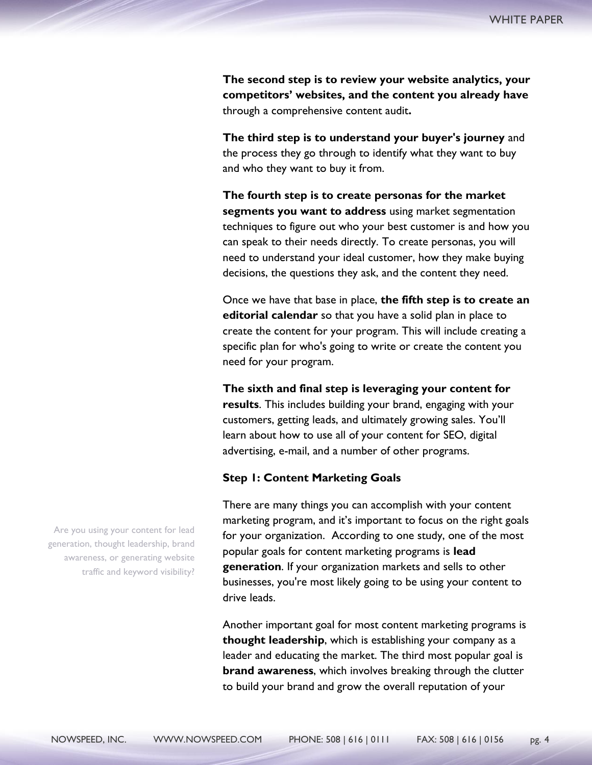**The second step is to review your website analytics, your competitors' websites, and the content you already have**  through a comprehensive content audit**.** 

**The third step is to understand your buyer's journey** and the process they go through to identify what they want to buy and who they want to buy it from.

**The fourth step is to create personas for the market segments you want to address** using market segmentation techniques to figure out who your best customer is and how you can speak to their needs directly. To create personas, you will need to understand your ideal customer, how they make buying decisions, the questions they ask, and the content they need.

Once we have that base in place, **the fifth step is to create an editorial calendar** so that you have a solid plan in place to create the content for your program. This will include creating a specific plan for who's going to write or create the content you need for your program.

**The sixth and final step is leveraging your content for results**. This includes building your brand, engaging with your customers, getting leads, and ultimately growing sales. You'll learn about how to use all of your content for SEO, digital advertising, e-mail, and a number of other programs.

## **Step 1: Content Marketing Goals**

There are many things you can accomplish with your content marketing program, and it's important to focus on the right goals for your organization. According to one study, one of the most popular goals for content marketing programs is **lead generation**. If your organization markets and sells to other businesses, you're most likely going to be using your content to drive leads.

Another important goal for most content marketing programs is **thought leadership**, which is establishing your company as a leader and educating the market. The third most popular goal is **brand awareness**, which involves breaking through the clutter to build your brand and grow the overall reputation of your

Are you using your content for lead generation, thought leadership, brand awareness, or generating website traffic and keyword visibility?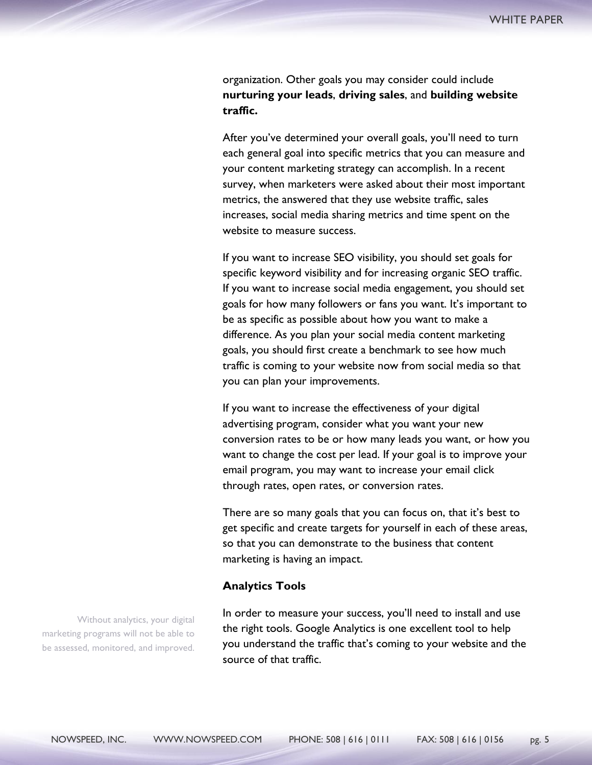organization. Other goals you may consider could include **nurturing your leads**, **driving sales**, and **building website traffic.** 

After you've determined your overall goals, you'll need to turn each general goal into specific metrics that you can measure and your content marketing strategy can accomplish. In a recent survey, when marketers were asked about their most important metrics, the answered that they use website traffic, sales increases, social media sharing metrics and time spent on the website to measure success.

If you want to increase SEO visibility, you should set goals for specific keyword visibility and for increasing organic SEO traffic. If you want to increase social media engagement, you should set goals for how many followers or fans you want. It's important to be as specific as possible about how you want to make a difference. As you plan your social media content marketing goals, you should first create a benchmark to see how much traffic is coming to your website now from social media so that you can plan your improvements.

If you want to increase the effectiveness of your digital advertising program, consider what you want your new conversion rates to be or how many leads you want, or how you want to change the cost per lead. If your goal is to improve your email program, you may want to increase your email click through rates, open rates, or conversion rates.

There are so many goals that you can focus on, that it's best to get specific and create targets for yourself in each of these areas, so that you can demonstrate to the business that content marketing is having an impact.

#### **Analytics Tools**

Without analytics, your digital marketing programs will not be able to be assessed, monitored, and improved.

In order to measure your success, you'll need to install and use the right tools. Google Analytics is one excellent tool to help you understand the traffic that's coming to your website and the source of that traffic.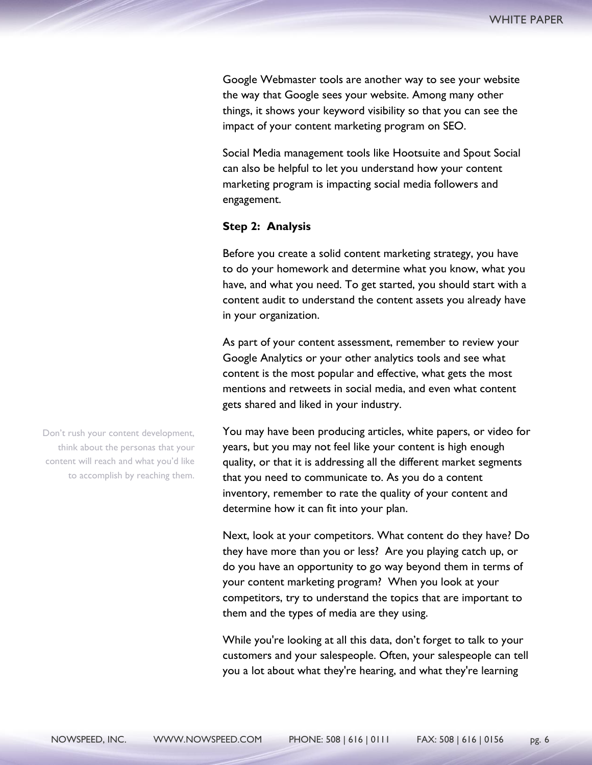Google Webmaster tools are another way to see your website the way that Google sees your website. Among many other things, it shows your keyword visibility so that you can see the impact of your content marketing program on SEO.

Social Media management tools like Hootsuite and Spout Social can also be helpful to let you understand how your content marketing program is impacting social media followers and engagement.

#### **Step 2: Analysis**

Before you create a solid content marketing strategy, you have to do your homework and determine what you know, what you have, and what you need. To get started, you should start with a content audit to understand the content assets you already have in your organization.

As part of your content assessment, remember to review your Google Analytics or your other analytics tools and see what content is the most popular and effective, what gets the most mentions and retweets in social media, and even what content gets shared and liked in your industry.

You may have been producing articles, white papers, or video for years, but you may not feel like your content is high enough quality, or that it is addressing all the different market segments that you need to communicate to. As you do a content inventory, remember to rate the quality of your content and determine how it can fit into your plan.

Next, look at your competitors. What content do they have? Do they have more than you or less? Are you playing catch up, or do you have an opportunity to go way beyond them in terms of your content marketing program? When you look at your competitors, try to understand the topics that are important to them and the types of media are they using.

While you're looking at all this data, don't forget to talk to your customers and your salespeople. Often, your salespeople can tell you a lot about what they're hearing, and what they're learning

Don't rush your content development, think about the personas that your content will reach and what you'd like to accomplish by reaching them.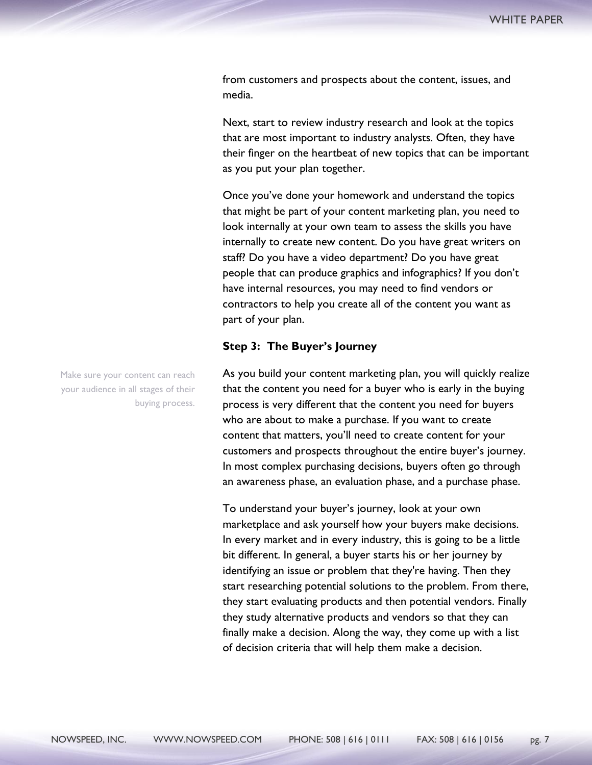from customers and prospects about the content, issues, and media.

Next, start to review industry research and look at the topics that are most important to industry analysts. Often, they have their finger on the heartbeat of new topics that can be important as you put your plan together.

Once you've done your homework and understand the topics that might be part of your content marketing plan, you need to look internally at your own team to assess the skills you have internally to create new content. Do you have great writers on staff? Do you have a video department? Do you have great people that can produce graphics and infographics? If you don't have internal resources, you may need to find vendors or contractors to help you create all of the content you want as part of your plan.

#### **Step 3: The Buyer's Journey**

As you build your content marketing plan, you will quickly realize that the content you need for a buyer who is early in the buying process is very different that the content you need for buyers who are about to make a purchase. If you want to create content that matters, you'll need to create content for your customers and prospects throughout the entire buyer's journey. In most complex purchasing decisions, buyers often go through an awareness phase, an evaluation phase, and a purchase phase.

To understand your buyer's journey, look at your own marketplace and ask yourself how your buyers make decisions. In every market and in every industry, this is going to be a little bit different. In general, a buyer starts his or her journey by identifying an issue or problem that they're having. Then they start researching potential solutions to the problem. From there, they start evaluating products and then potential vendors. Finally they study alternative products and vendors so that they can finally make a decision. Along the way, they come up with a list of decision criteria that will help them make a decision.

Make sure your content can reach your audience in all stages of their buying process.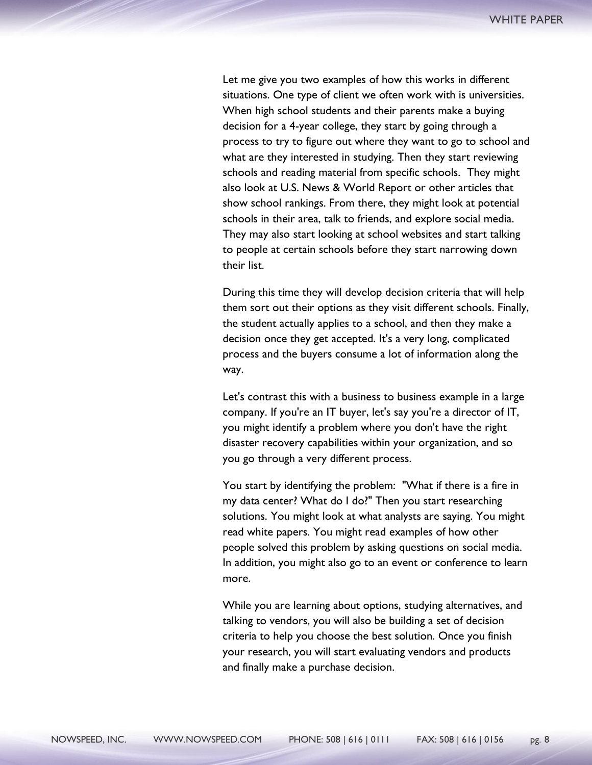Let me give you two examples of how this works in different situations. One type of client we often work with is universities. When high school students and their parents make a buying decision for a 4-year college, they start by going through a process to try to figure out where they want to go to school and what are they interested in studying. Then they start reviewing schools and reading material from specific schools. They might also look at U.S. News & World Report or other articles that show school rankings. From there, they might look at potential schools in their area, talk to friends, and explore social media. They may also start looking at school websites and start talking to people at certain schools before they start narrowing down their list.

During this time they will develop decision criteria that will help them sort out their options as they visit different schools. Finally, the student actually applies to a school, and then they make a decision once they get accepted. It's a very long, complicated process and the buyers consume a lot of information along the way.

Let's contrast this with a business to business example in a large company. If you're an IT buyer, let's say you're a director of IT, you might identify a problem where you don't have the right disaster recovery capabilities within your organization, and so you go through a very different process.

You start by identifying the problem: "What if there is a fire in my data center? What do I do?" Then you start researching solutions. You might look at what analysts are saying. You might read white papers. You might read examples of how other people solved this problem by asking questions on social media. In addition, you might also go to an event or conference to learn more.

While you are learning about options, studying alternatives, and talking to vendors, you will also be building a set of decision criteria to help you choose the best solution. Once you finish your research, you will start evaluating vendors and products and finally make a purchase decision.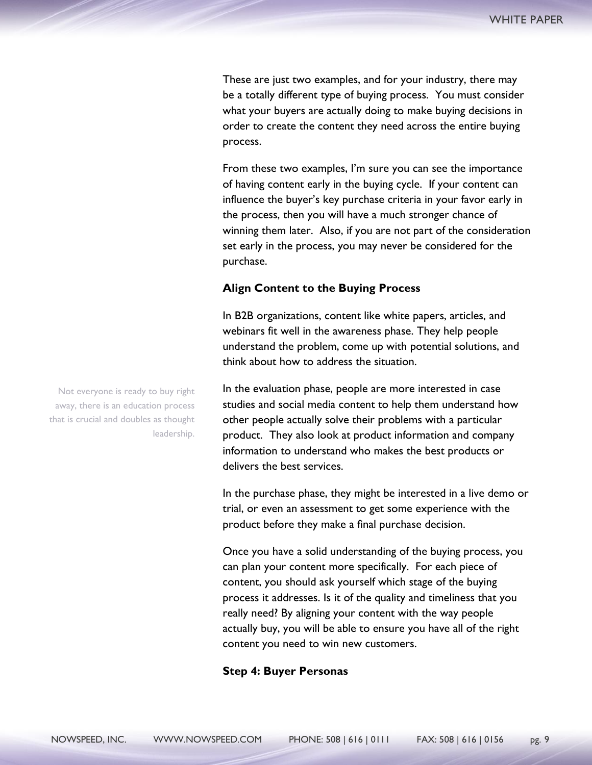These are just two examples, and for your industry, there may be a totally different type of buying process. You must consider what your buyers are actually doing to make buying decisions in order to create the content they need across the entire buying process.

From these two examples, I'm sure you can see the importance of having content early in the buying cycle. If your content can influence the buyer's key purchase criteria in your favor early in the process, then you will have a much stronger chance of winning them later. Also, if you are not part of the consideration set early in the process, you may never be considered for the purchase.

#### **Align Content to the Buying Process**

In B2B organizations, content like white papers, articles, and webinars fit well in the awareness phase. They help people understand the problem, come up with potential solutions, and think about how to address the situation.

In the evaluation phase, people are more interested in case studies and social media content to help them understand how other people actually solve their problems with a particular product. They also look at product information and company information to understand who makes the best products or delivers the best services.

In the purchase phase, they might be interested in a live demo or trial, or even an assessment to get some experience with the product before they make a final purchase decision.

Once you have a solid understanding of the buying process, you can plan your content more specifically. For each piece of content, you should ask yourself which stage of the buying process it addresses. Is it of the quality and timeliness that you really need? By aligning your content with the way people actually buy, you will be able to ensure you have all of the right content you need to win new customers.

#### **Step 4: Buyer Personas**

Not everyone is ready to buy right away, there is an education process that is crucial and doubles as thought leadership.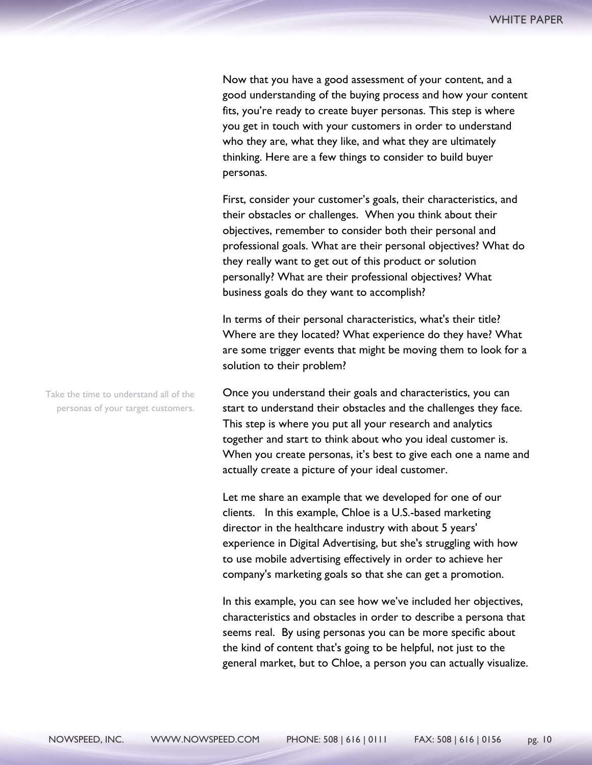Now that you have a good assessment of your content, and a good understanding of the buying process and how your content fits, you're ready to create buyer personas. This step is where you get in touch with your customers in order to understand who they are, what they like, and what they are ultimately thinking. Here are a few things to consider to build buyer personas.

First, consider your customer's goals, their characteristics, and their obstacles or challenges. When you think about their objectives, remember to consider both their personal and professional goals. What are their personal objectives? What do they really want to get out of this product or solution personally? What are their professional objectives? What business goals do they want to accomplish?

In terms of their personal characteristics, what's their title? Where are they located? What experience do they have? What are some trigger events that might be moving them to look for a solution to their problem?

Once you understand their goals and characteristics, you can start to understand their obstacles and the challenges they face. This step is where you put all your research and analytics together and start to think about who you ideal customer is. When you create personas, it's best to give each one a name and actually create a picture of your ideal customer.

Let me share an example that we developed for one of our clients. In this example, Chloe is a U.S.-based marketing director in the healthcare industry with about 5 years' experience in Digital Advertising, but she's struggling with how to use mobile advertising effectively in order to achieve her company's marketing goals so that she can get a promotion.

In this example, you can see how we've included her objectives, characteristics and obstacles in order to describe a persona that seems real. By using personas you can be more specific about the kind of content that's going to be helpful, not just to the general market, but to Chloe, a person you can actually visualize.

Take the time to understand all of the personas of your target customers.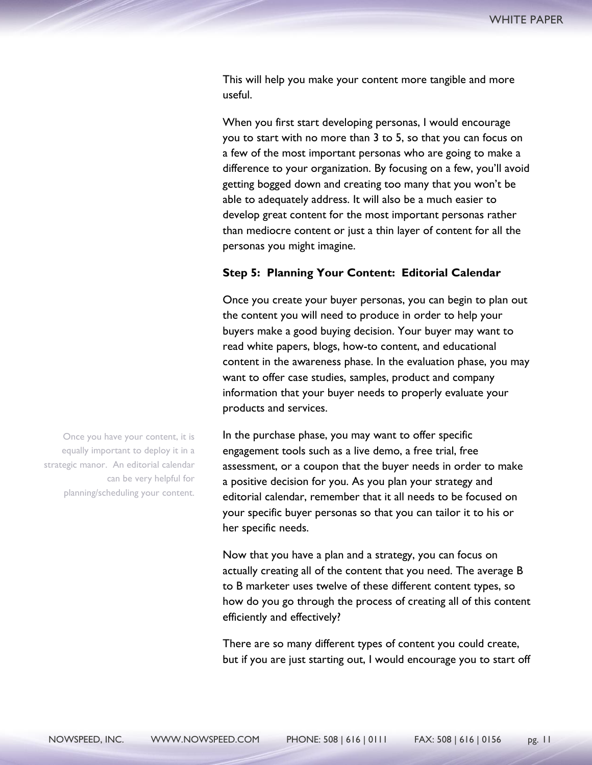This will help you make your content more tangible and more useful.

When you first start developing personas, I would encourage you to start with no more than 3 to 5, so that you can focus on a few of the most important personas who are going to make a difference to your organization. By focusing on a few, you'll avoid getting bogged down and creating too many that you won't be able to adequately address. It will also be a much easier to develop great content for the most important personas rather than mediocre content or just a thin layer of content for all the personas you might imagine.

#### **Step 5: Planning Your Content: Editorial Calendar**

Once you create your buyer personas, you can begin to plan out the content you will need to produce in order to help your buyers make a good buying decision. Your buyer may want to read white papers, blogs, how-to content, and educational content in the awareness phase. In the evaluation phase, you may want to offer case studies, samples, product and company information that your buyer needs to properly evaluate your products and services.

In the purchase phase, you may want to offer specific engagement tools such as a live demo, a free trial, free assessment, or a coupon that the buyer needs in order to make a positive decision for you. As you plan your strategy and editorial calendar, remember that it all needs to be focused on your specific buyer personas so that you can tailor it to his or her specific needs.

Now that you have a plan and a strategy, you can focus on actually creating all of the content that you need. The average B to B marketer uses twelve of these different content types, so how do you go through the process of creating all of this content efficiently and effectively?

There are so many different types of content you could create, but if you are just starting out, I would encourage you to start off

Once you have your content, it is equally important to deploy it in a strategic manor. An editorial calendar can be very helpful for planning/scheduling your content.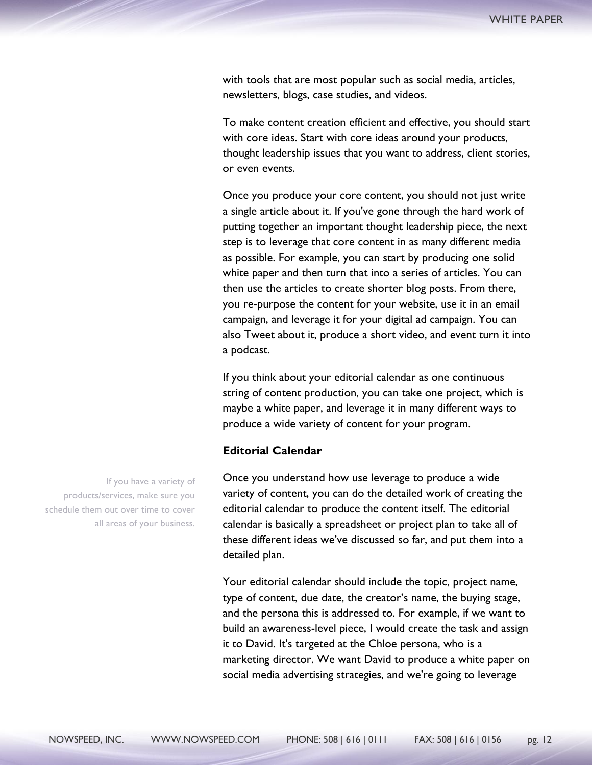with tools that are most popular such as social media, articles, newsletters, blogs, case studies, and videos.

To make content creation efficient and effective, you should start with core ideas. Start with core ideas around your products, thought leadership issues that you want to address, client stories, or even events.

Once you produce your core content, you should not just write a single article about it. If you've gone through the hard work of putting together an important thought leadership piece, the next step is to leverage that core content in as many different media as possible. For example, you can start by producing one solid white paper and then turn that into a series of articles. You can then use the articles to create shorter blog posts. From there, you re-purpose the content for your website, use it in an email campaign, and leverage it for your digital ad campaign. You can also Tweet about it, produce a short video, and event turn it into a podcast.

If you think about your editorial calendar as one continuous string of content production, you can take one project, which is maybe a white paper, and leverage it in many different ways to produce a wide variety of content for your program.

## **Editorial Calendar**

Once you understand how use leverage to produce a wide variety of content, you can do the detailed work of creating the editorial calendar to produce the content itself. The editorial calendar is basically a spreadsheet or project plan to take all of these different ideas we've discussed so far, and put them into a detailed plan.

Your editorial calendar should include the topic, project name, type of content, due date, the creator's name, the buying stage, and the persona this is addressed to. For example, if we want to build an awareness-level piece, I would create the task and assign it to David. It's targeted at the Chloe persona, who is a marketing director. We want David to produce a white paper on social media advertising strategies, and we're going to leverage

If you have a variety of products/services, make sure you schedule them out over time to cover all areas of your business.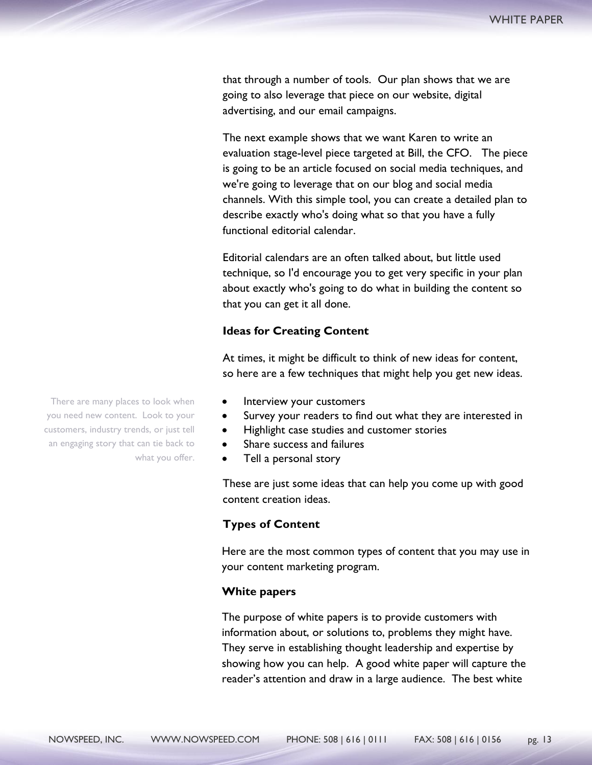that through a number of tools. Our plan shows that we are going to also leverage that piece on our website, digital advertising, and our email campaigns.

The next example shows that we want Karen to write an evaluation stage-level piece targeted at Bill, the CFO. The piece is going to be an article focused on social media techniques, and we're going to leverage that on our blog and social media channels. With this simple tool, you can create a detailed plan to describe exactly who's doing what so that you have a fully functional editorial calendar.

Editorial calendars are an often talked about, but little used technique, so I'd encourage you to get very specific in your plan about exactly who's going to do what in building the content so that you can get it all done.

#### **Ideas for Creating Content**

At times, it might be difficult to think of new ideas for content, so here are a few techniques that might help you get new ideas.

- Interview your customers
- Survey your readers to find out what they are interested in
- Highlight case studies and customer stories
- Share success and failures
- Tell a personal story

These are just some ideas that can help you come up with good content creation ideas.

## **Types of Content**

Here are the most common types of content that you may use in your content marketing program.

#### **White papers**

The purpose of white papers is to provide customers with information about, or solutions to, problems they might have. They serve in establishing thought leadership and expertise by showing how you can help. A good white paper will capture the reader's attention and draw in a large audience. The best white

There are many places to look when you need new content. Look to your customers, industry trends, or just tell an engaging story that can tie back to what you offer.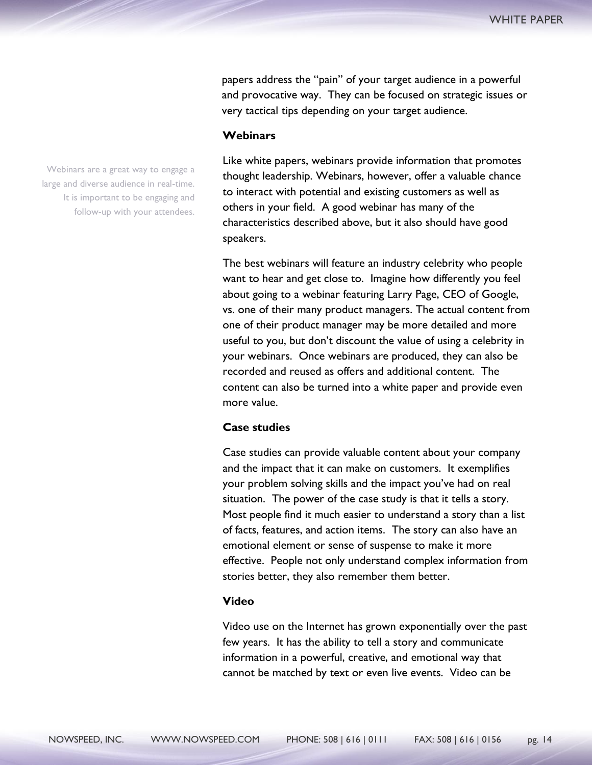papers address the "pain" of your target audience in a powerful and provocative way. They can be focused on strategic issues or very tactical tips depending on your target audience.

## **Webinars**

Like white papers, webinars provide information that promotes thought leadership. Webinars, however, offer a valuable chance to interact with potential and existing customers as well as others in your field. A good webinar has many of the characteristics described above, but it also should have good speakers.

The best webinars will feature an industry celebrity who people want to hear and get close to. Imagine how differently you feel about going to a webinar featuring Larry Page, CEO of Google, vs. one of their many product managers. The actual content from one of their product manager may be more detailed and more useful to you, but don't discount the value of using a celebrity in your webinars. Once webinars are produced, they can also be recorded and reused as offers and additional content. The content can also be turned into a white paper and provide even more value.

## **Case studies**

Case studies can provide valuable content about your company and the impact that it can make on customers. It exemplifies your problem solving skills and the impact you've had on real situation. The power of the case study is that it tells a story. Most people find it much easier to understand a story than a list of facts, features, and action items. The story can also have an emotional element or sense of suspense to make it more effective. People not only understand complex information from stories better, they also remember them better.

#### **Video**

Video use on the Internet has grown exponentially over the past few years. It has the ability to tell a story and communicate information in a powerful, creative, and emotional way that cannot be matched by text or even live events. Video can be

Webinars are a great way to engage a large and diverse audience in real-time. It is important to be engaging and follow-up with your attendees.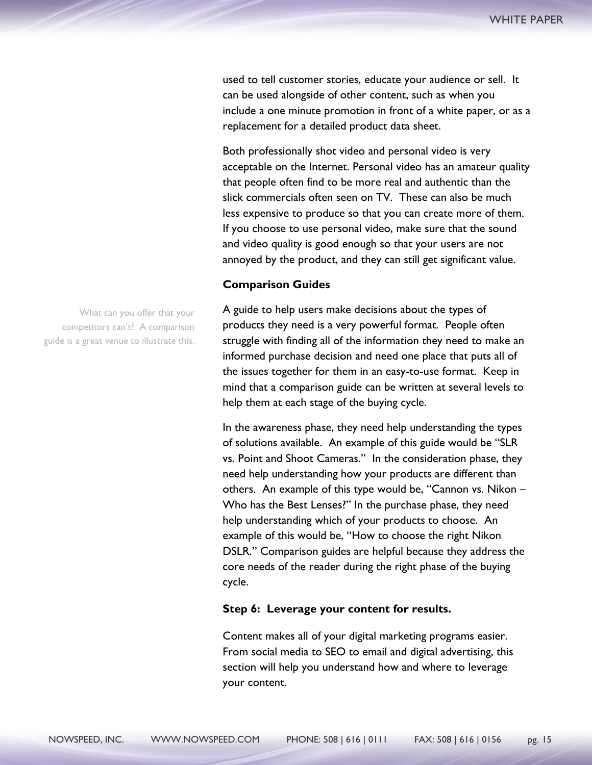used to tell customer stories, educate your audience or sell. It can be used alongside of other content, such as when you include a one minute promotion in front of a white paper, or as a replacement for a detailed product data sheet.

Both professionally shot video and personal video is very acceptable on the Internet. Personal video has an amateur quality that people often find to be more real and authentic than the slick commercials often seen on TV. These can also be much less expensive to produce so that you can create more of them. If you choose to use personal video, make sure that the sound and video quality is good enough so that your users are not annoyed by the product, and they can still get significant value.

## **Comparison Guides**

A guide to help users make decisions about the types of products they need is a very powerful format. People often struggle with finding all of the information they need to make an informed purchase decision and need one place that puts all of the issues together for them in an easy-to-use format. Keep in mind that a comparison guide can be written at several levels to help them at each stage of the buying cycle.

In the awareness phase, they need help understanding the types of solutions available. An example of this guide would be "SLR vs. Point and Shoot Cameras." In the consideration phase, they need help understanding how your products are different than others. An example of this type would be, "Cannon vs. Nikon – Who has the Best Lenses?" In the purchase phase, they need help understanding which of your products to choose. An example of this would be, "How to choose the right Nikon DSLR." Comparison guides are helpful because they address the core needs of the reader during the right phase of the buying cycle.

#### **Step 6: Leverage your content for results.**

Content makes all of your digital marketing programs easier. From social media to SEO to email and digital advertising, this section will help you understand how and where to leverage your content.

What can you offer that your competitors can't? A comparison guide is a great venue to illustrate this.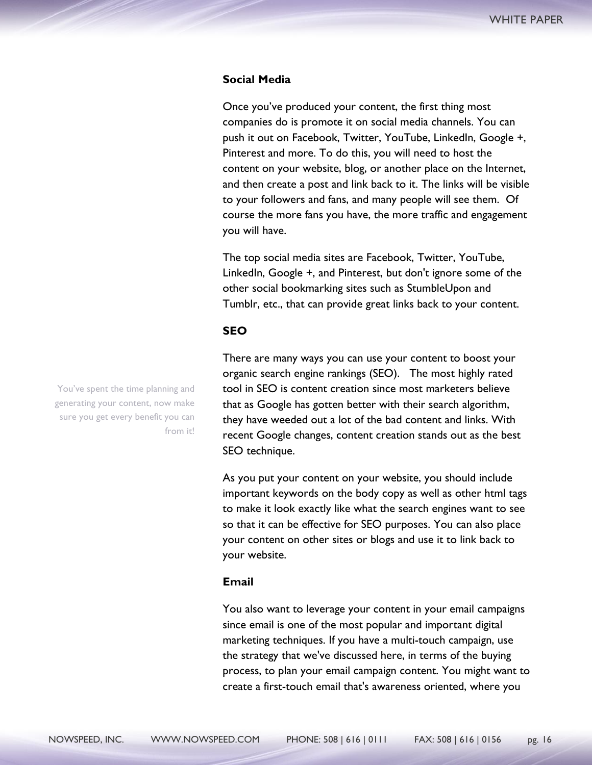## **Social Media**

Once you've produced your content, the first thing most companies do is promote it on social media channels. You can push it out on Facebook, Twitter, YouTube, LinkedIn, Google +, Pinterest and more. To do this, you will need to host the content on your website, blog, or another place on the Internet, and then create a post and link back to it. The links will be visible to your followers and fans, and many people will see them. Of course the more fans you have, the more traffic and engagement you will have.

The top social media sites are Facebook, Twitter, YouTube, LinkedIn, Google +, and Pinterest, but don't ignore some of the other social bookmarking sites such as StumbleUpon and Tumblr, etc., that can provide great links back to your content.

#### **SEO**

There are many ways you can use your content to boost your organic search engine rankings (SEO). The most highly rated tool in SEO is content creation since most marketers believe that as Google has gotten better with their search algorithm, they have weeded out a lot of the bad content and links. With recent Google changes, content creation stands out as the best SEO technique.

As you put your content on your website, you should include important keywords on the body copy as well as other html tags to make it look exactly like what the search engines want to see so that it can be effective for SEO purposes. You can also place your content on other sites or blogs and use it to link back to your website.

#### **Email**

You also want to leverage your content in your email campaigns since email is one of the most popular and important digital marketing techniques. If you have a multi-touch campaign, use the strategy that we've discussed here, in terms of the buying process, to plan your email campaign content. You might want to create a first-touch email that's awareness oriented, where you

You've spent the time planning and generating your content, now make sure you get every benefit you can from it!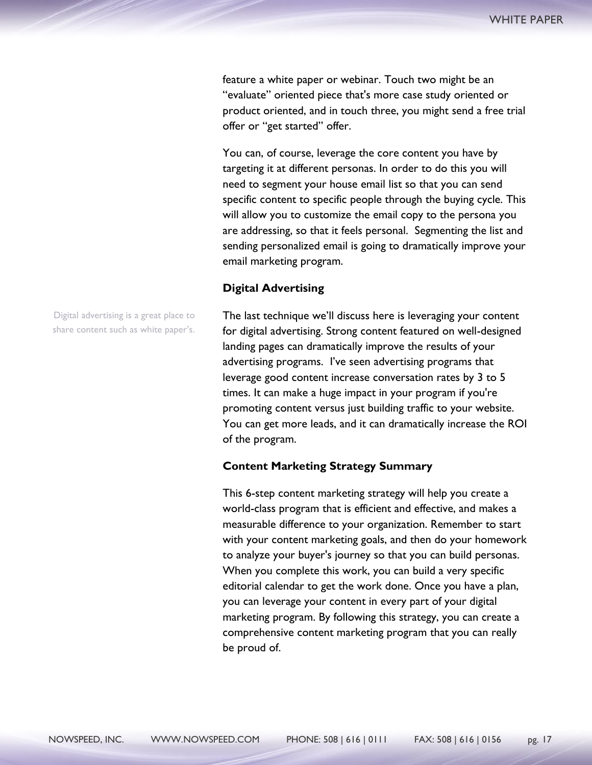feature a white paper or webinar. Touch two might be an "evaluate" oriented piece that's more case study oriented or product oriented, and in touch three, you might send a free trial offer or "get started" offer.

You can, of course, leverage the core content you have by targeting it at different personas. In order to do this you will need to segment your house email list so that you can send specific content to specific people through the buying cycle. This will allow you to customize the email copy to the persona you are addressing, so that it feels personal. Segmenting the list and sending personalized email is going to dramatically improve your email marketing program.

#### **Digital Advertising**

The last technique we'll discuss here is leveraging your content for digital advertising. Strong content featured on well-designed landing pages can dramatically improve the results of your advertising programs. I've seen advertising programs that leverage good content increase conversation rates by 3 to 5 times. It can make a huge impact in your program if you're promoting content versus just building traffic to your website. You can get more leads, and it can dramatically increase the ROI of the program.

#### **Content Marketing Strategy Summary**

This 6-step content marketing strategy will help you create a world-class program that is efficient and effective, and makes a measurable difference to your organization. Remember to start with your content marketing goals, and then do your homework to analyze your buyer's journey so that you can build personas. When you complete this work, you can build a very specific editorial calendar to get the work done. Once you have a plan, you can leverage your content in every part of your digital marketing program. By following this strategy, you can create a comprehensive content marketing program that you can really be proud of.

Digital advertising is a great place to share content such as white paper's.